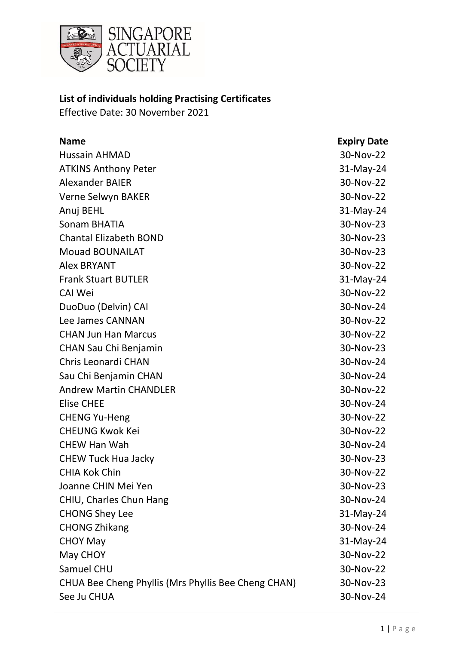

## **List of individuals holding Practising Certificates**

Effective Date: 30 November 2021

| <b>Name</b>                                         | <b>Expiry Date</b> |
|-----------------------------------------------------|--------------------|
| <b>Hussain AHMAD</b>                                | 30-Nov-22          |
| <b>ATKINS Anthony Peter</b>                         | $31-May-24$        |
| <b>Alexander BAIER</b>                              | 30-Nov-22          |
| Verne Selwyn BAKER                                  | 30-Nov-22          |
| Anuj BEHL                                           | 31-May-24          |
| Sonam BHATIA                                        | 30-Nov-23          |
| <b>Chantal Elizabeth BOND</b>                       | 30-Nov-23          |
| <b>Mouad BOUNAILAT</b>                              | 30-Nov-23          |
| <b>Alex BRYANT</b>                                  | 30-Nov-22          |
| <b>Frank Stuart BUTLER</b>                          | $31-May-24$        |
| <b>CAI Wei</b>                                      | 30-Nov-22          |
| DuoDuo (Delvin) CAI                                 | 30-Nov-24          |
| Lee James CANNAN                                    | 30-Nov-22          |
| <b>CHAN Jun Han Marcus</b>                          | 30-Nov-22          |
| <b>CHAN Sau Chi Benjamin</b>                        | 30-Nov-23          |
| Chris Leonardi CHAN                                 | 30-Nov-24          |
| Sau Chi Benjamin CHAN                               | 30-Nov-24          |
| <b>Andrew Martin CHANDLER</b>                       | 30-Nov-22          |
| <b>Elise CHEE</b>                                   | 30-Nov-24          |
| <b>CHENG Yu-Heng</b>                                | 30-Nov-22          |
| <b>CHEUNG Kwok Kei</b>                              | 30-Nov-22          |
| <b>CHEW Han Wah</b>                                 | 30-Nov-24          |
| <b>CHEW Tuck Hua Jacky</b>                          | 30-Nov-23          |
| <b>CHIA Kok Chin</b>                                | 30-Nov-22          |
| Joanne CHIN Mei Yen                                 | 30-Nov-23          |
| CHIU, Charles Chun Hang                             | 30-Nov-24          |
| <b>CHONG Shey Lee</b>                               | $31-May-24$        |
| <b>CHONG Zhikang</b>                                | 30-Nov-24          |
| <b>CHOY May</b>                                     | $31-May-24$        |
| May CHOY                                            | 30-Nov-22          |
| Samuel CHU                                          | 30-Nov-22          |
| CHUA Bee Cheng Phyllis (Mrs Phyllis Bee Cheng CHAN) | 30-Nov-23          |
| See Ju CHUA                                         | 30-Nov-24          |
|                                                     |                    |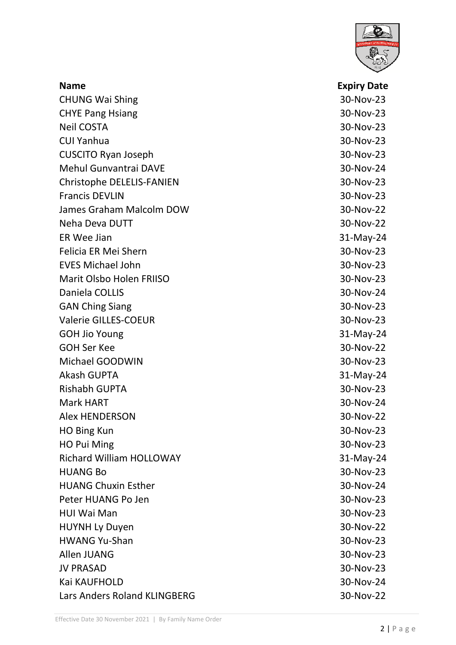

| <b>Name</b>                      | <b>Expiry Date</b> |
|----------------------------------|--------------------|
| <b>CHUNG Wai Shing</b>           | 30-Nov-23          |
| <b>CHYE Pang Hsiang</b>          | 30-Nov-23          |
| <b>Neil COSTA</b>                | 30-Nov-23          |
| <b>CUI Yanhua</b>                | 30-Nov-23          |
| <b>CUSCITO Ryan Joseph</b>       | 30-Nov-23          |
| Mehul Gunvantrai DAVE            | 30-Nov-24          |
| <b>Christophe DELELIS-FANIEN</b> | 30-Nov-23          |
| <b>Francis DEVLIN</b>            | 30-Nov-23          |
| James Graham Malcolm DOW         | 30-Nov-22          |
| Neha Deva DUTT                   | 30-Nov-22          |
| ER Wee Jian                      | 31-May-24          |
| Felicia ER Mei Shern             | 30-Nov-23          |
| <b>EVES Michael John</b>         | 30-Nov-23          |
| <b>Marit Olsbo Holen FRIISO</b>  | 30-Nov-23          |
| Daniela COLLIS                   | 30-Nov-24          |
| <b>GAN Ching Siang</b>           | 30-Nov-23          |
| <b>Valerie GILLES-COEUR</b>      | 30-Nov-23          |
| <b>GOH Jio Young</b>             | 31-May-24          |
| <b>GOH Ser Kee</b>               | 30-Nov-22          |
| Michael GOODWIN                  | 30-Nov-23          |
| <b>Akash GUPTA</b>               | 31-May-24          |
| <b>Rishabh GUPTA</b>             | 30-Nov-23          |
| <b>Mark HART</b>                 | 30-Nov-24          |
| <b>Alex HENDERSON</b>            | 30-Nov-22          |
| HO Bing Kun                      | 30-Nov-23          |
| HO Pui Ming                      | 30-Nov-23          |
| <b>Richard William HOLLOWAY</b>  | 31-May-24          |
| <b>HUANG Bo</b>                  | 30-Nov-23          |
| <b>HUANG Chuxin Esther</b>       | 30-Nov-24          |
| Peter HUANG Po Jen               | 30-Nov-23          |
| <b>HUI Wai Man</b>               | 30-Nov-23          |
| <b>HUYNH Ly Duyen</b>            | 30-Nov-22          |
| <b>HWANG Yu-Shan</b>             | 30-Nov-23          |
| Allen JUANG                      | 30-Nov-23          |
| <b>JV PRASAD</b>                 | 30-Nov-23          |
| Kai KAUFHOLD                     | 30-Nov-24          |
| Lars Anders Roland KLINGBERG     | 30-Nov-22          |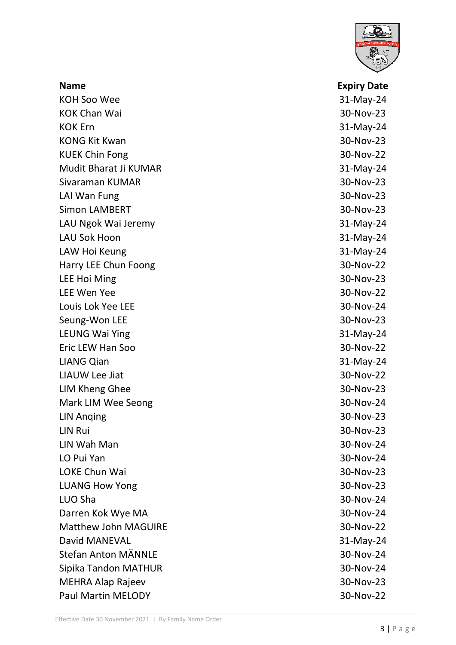

| <b>Name</b>                 | <b>Expiry Date</b> |
|-----------------------------|--------------------|
| <b>KOH Soo Wee</b>          | $31$ -May-24       |
| <b>KOK Chan Wai</b>         | 30-Nov-23          |
| <b>KOK Ern</b>              | 31-May-24          |
| <b>KONG Kit Kwan</b>        | 30-Nov-23          |
| <b>KUEK Chin Fong</b>       | 30-Nov-22          |
| Mudit Bharat Ji KUMAR       | $31$ -May-24       |
| Sivaraman KUMAR             | 30-Nov-23          |
| LAI Wan Fung                | 30-Nov-23          |
| <b>Simon LAMBERT</b>        | 30-Nov-23          |
| LAU Ngok Wai Jeremy         | $31$ -May-24       |
| <b>LAU Sok Hoon</b>         | 31-May-24          |
| LAW Hoi Keung               | 31-May-24          |
| Harry LEE Chun Foong        | 30-Nov-22          |
| <b>LEE Hoi Ming</b>         | 30-Nov-23          |
| <b>LEE Wen Yee</b>          | 30-Nov-22          |
| Louis Lok Yee LEE           | 30-Nov-24          |
| Seung-Won LEE               | 30-Nov-23          |
| <b>LEUNG Wai Ying</b>       | $31-May-24$        |
| Eric LEW Han Soo            | 30-Nov-22          |
| <b>LIANG Qian</b>           | 31-May-24          |
| <b>LIAUW Lee Jiat</b>       | 30-Nov-22          |
| <b>LIM Kheng Ghee</b>       | 30-Nov-23          |
| Mark LIM Wee Seong          | 30-Nov-24          |
| <b>LIN Anging</b>           | 30-Nov-23          |
| LIN Rui                     | 30-Nov-23          |
| LIN Wah Man                 | 30-Nov-24          |
| LO Pui Yan                  | 30-Nov-24          |
| LOKE Chun Wai               | 30-Nov-23          |
| <b>LUANG How Yong</b>       | 30-Nov-23          |
| LUO Sha                     | 30-Nov-24          |
| Darren Kok Wye MA           | 30-Nov-24          |
| <b>Matthew John MAGUIRE</b> | 30-Nov-22          |
| David MANEVAL               | $31-May-24$        |
| <b>Stefan Anton MÄNNLE</b>  | 30-Nov-24          |
| Sipika Tandon MATHUR        | 30-Nov-24          |
| <b>MEHRA Alap Rajeev</b>    | 30-Nov-23          |
| <b>Paul Martin MELODY</b>   | 30-Nov-22          |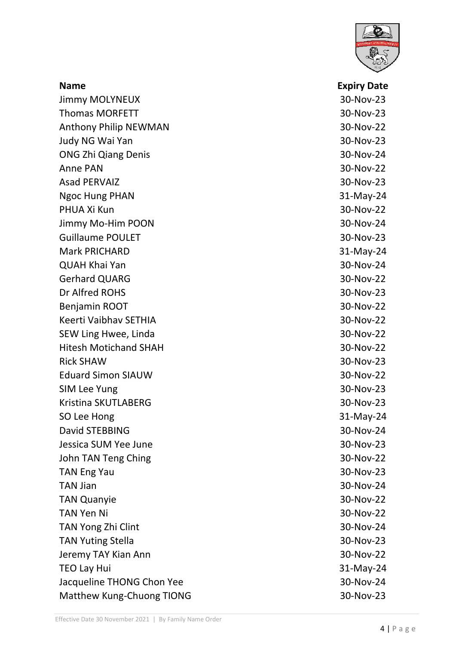

| <b>Name</b>                  | <b>Expiry Date</b> |
|------------------------------|--------------------|
| <b>Jimmy MOLYNEUX</b>        | 30-Nov-23          |
| <b>Thomas MORFETT</b>        | 30-Nov-23          |
| <b>Anthony Philip NEWMAN</b> | 30-Nov-22          |
| Judy NG Wai Yan              | 30-Nov-23          |
| <b>ONG Zhi Qiang Denis</b>   | 30-Nov-24          |
| Anne PAN                     | 30-Nov-22          |
| <b>Asad PERVAIZ</b>          | 30-Nov-23          |
| <b>Ngoc Hung PHAN</b>        | 31-May-24          |
| PHUA Xi Kun                  | 30-Nov-22          |
| Jimmy Mo-Him POON            | 30-Nov-24          |
| <b>Guillaume POULET</b>      | 30-Nov-23          |
| <b>Mark PRICHARD</b>         | $31-May-24$        |
| <b>QUAH Khai Yan</b>         | 30-Nov-24          |
| <b>Gerhard QUARG</b>         | 30-Nov-22          |
| Dr Alfred ROHS               | 30-Nov-23          |
| Benjamin ROOT                | 30-Nov-22          |
| Keerti Vaibhav SETHIA        | 30-Nov-22          |
| SEW Ling Hwee, Linda         | 30-Nov-22          |
| <b>Hitesh Motichand SHAH</b> | 30-Nov-22          |
| <b>Rick SHAW</b>             | 30-Nov-23          |
| <b>Eduard Simon SIAUW</b>    | 30-Nov-22          |
| SIM Lee Yung                 | 30-Nov-23          |
| Kristina SKUTLABERG          | 30-Nov-23          |
| SO Lee Hong                  | 31-May-24          |
| David STEBBING               | 30-Nov-24          |
| Jessica SUM Yee June         | 30-Nov-23          |
| John TAN Teng Ching          | 30-Nov-22          |
| <b>TAN Eng Yau</b>           | 30-Nov-23          |
| <b>TAN Jian</b>              | 30-Nov-24          |
| <b>TAN Quanyie</b>           | 30-Nov-22          |
| <b>TAN Yen Ni</b>            | 30-Nov-22          |
| TAN Yong Zhi Clint           | 30-Nov-24          |
| <b>TAN Yuting Stella</b>     | 30-Nov-23          |
| Jeremy TAY Kian Ann          | 30-Nov-22          |
| <b>TEO Lay Hui</b>           | 31-May-24          |
| Jacqueline THONG Chon Yee    | 30-Nov-24          |
| Matthew Kung-Chuong TIONG    | 30-Nov-23          |